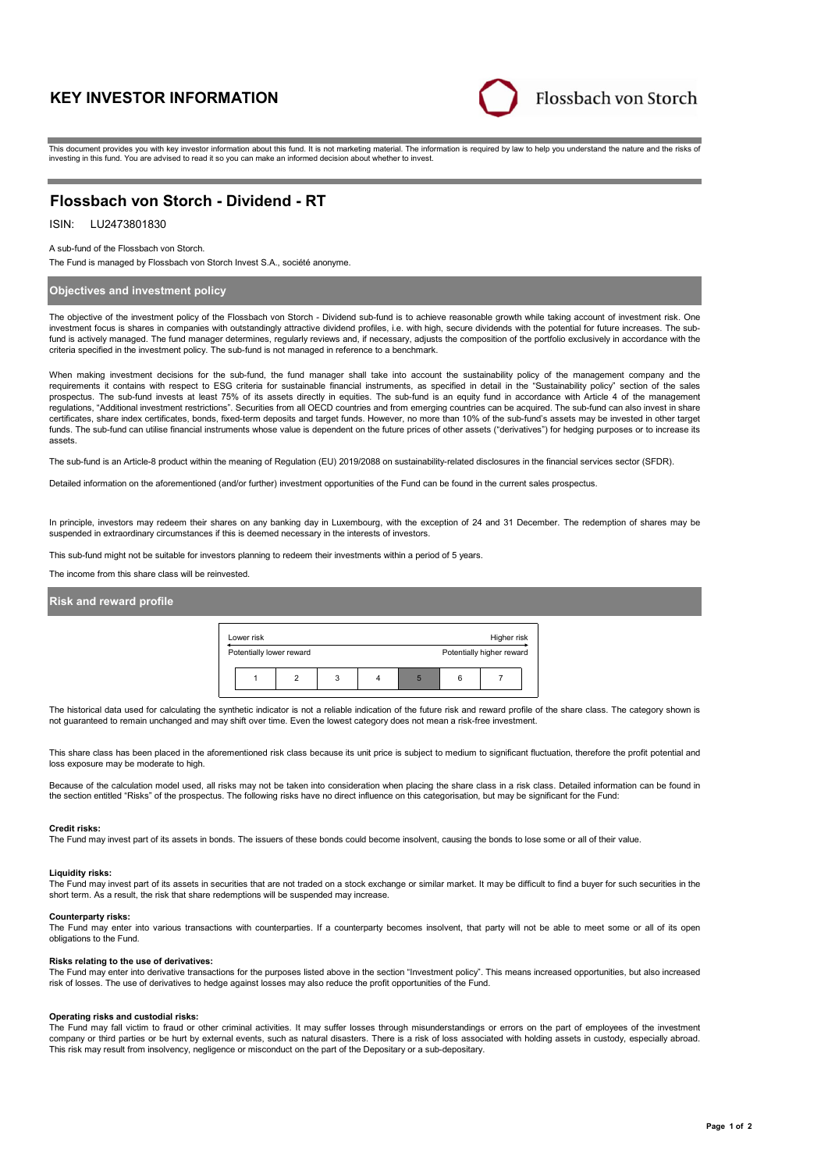# **KEY INVESTOR INFORMATION**



This document provides you with key investor information about this fund. It is not marketing material. The information is required by law to help you understand the nature and the risks of investing in this fund. You are advised to read it so you can make an informed decision about whether to invest.

# **Flossbach von Storch - Dividend - RT**

# ISIN: LU2473801830

A sub-fund of the Flossbach von Storch.

The Fund is managed by Flossbach von Storch Invest S.A., société anonyme.

## **Objectives and investment policy**

The objective of the investment policy of the Flossbach von Storch - Dividend sub-fund is to achieve reasonable growth while taking account of investment risk. One investment focus is shares in companies with outstandingly attractive dividend profiles, i.e. with high, secure dividends with the potential for future increases. The subfund is actively managed. The fund manager determines, regularly reviews and, if necessary, adjusts the composition of the portfolio exclusively in accordance with the criteria specified in the investment policy. The sub-fund is not managed in reference to a benchmark.

When making investment decisions for the sub-fund, the fund manager shall take into account the sustainability policy of the management company and the requirements it contains with respect to ESG criteria for sustainable financial instruments, as specified in detail in the "Sustainability policy" section of the sales prospectus. The sub-fund invests at least 75% of its assets directly in equities. The sub-fund is an equity fund in accordance with Article 4 of the management regulations, "Additional investment restrictions". Securities from all OECD countries and from emerging countries can be acquired. The sub-fund can also invest in share certificates, share index certificates, bonds, fixed-term deposits and target funds. However, no more than 10% of the sub-fund's assets may be invested in other target funds. The sub-fund can utilise financial instruments whose value is dependent on the future prices of other assets ("derivatives") for hedging purposes or to increase its assets.

The sub-fund is an Article-8 product within the meaning of Regulation (EU) 2019/2088 on sustainability-related disclosures in the financial services sector (SFDR).

Detailed information on the aforementioned (and/or further) investment opportunities of the Fund can be found in the current sales prospectus.

In principle, investors may redeem their shares on any banking day in Luxembourg, with the exception of 24 and 31 December. The redemption of shares may be suspended in extraordinary circumstances if this is deemed necessary in the interests of investors.

This sub-fund might not be suitable for investors planning to redeem their investments within a period of 5 years.

The income from this share class will be reinvested.

### **Risk and reward profile**



The historical data used for calculating the synthetic indicator is not a reliable indication of the future risk and reward profile of the share class. The category shown is not guaranteed to remain unchanged and may shift over time. Even the lowest category does not mean a risk-free investment.

This share class has been placed in the aforementioned risk class because its unit price is subject to medium to significant fluctuation, therefore the profit potential and loss exposure may be moderate to high.

Because of the calculation model used, all risks may not be taken into consideration when placing the share class in a risk class. Detailed information can be found in the section entitled "Risks" of the prospectus. The following risks have no direct influence on this categorisation, but may be significant for the Fund:

#### **Credit risks:**

The Fund may invest part of its assets in bonds. The issuers of these bonds could become insolvent, causing the bonds to lose some or all of their value.

## **Liquidity risks:**

The Fund may invest part of its assets in securities that are not traded on a stock exchange or similar market. It may be difficult to find a buyer for such securities in the short term. As a result, the risk that share redemptions will be suspended may increase.

#### **Counterparty risks:**

The Fund may enter into various transactions with counterparties. If a counterparty becomes insolvent, that party will not be able to meet some or all of its open obligations to the Fund.

#### **Risks relating to the use of derivatives:**

The Fund may enter into derivative transactions for the purposes listed above in the section "Investment policy". This means increased opportunities, but also increased risk of losses. The use of derivatives to hedge against losses may also reduce the profit opportunities of the Fund.

#### **Operating risks and custodial risks:**

The Fund may fall victim to fraud or other criminal activities. It may suffer losses through misunderstandings or errors on the part of employees of the investment company or third parties or be hurt by external events, such as natural disasters. There is a risk of loss associated with holding assets in custody, especially abroad. This risk may result from insolvency, negligence or misconduct on the part of the Depositary or a sub-depositary.